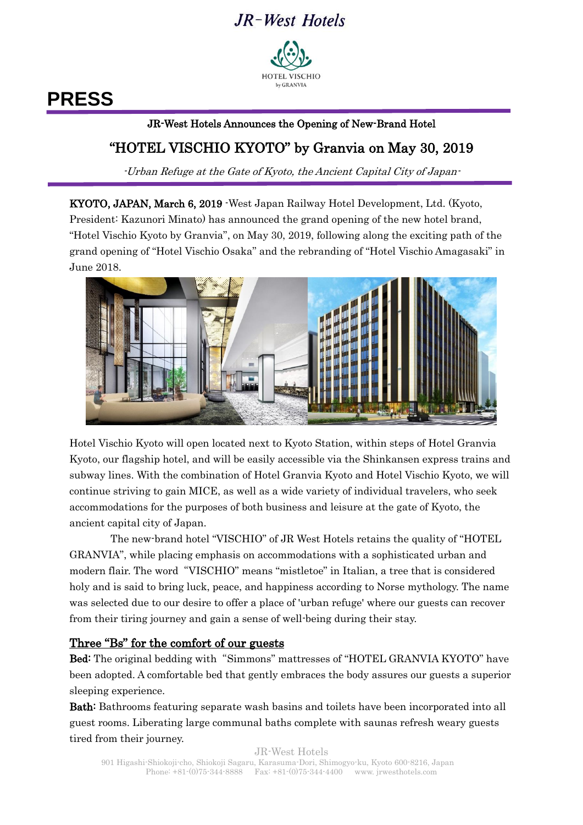## JR-West Hotels



# **PRESS**

#### l. JR-West Hotels Announces the Opening of New-Brand Hotel

### "HOTEL VISCHIO KYOTO" by Granvia on May 30, 2019

-Urban Refuge at the Gate of Kyoto, the Ancient Capital City of Japan-

KYOTO, JAPAN, March 6, 2019 -West Japan Railway Hotel Development, Ltd. (Kyoto, President: Kazunori Minato) has announced the grand opening of the new hotel brand, "Hotel Vischio Kyoto by Granvia", on May 30, 2019, following along the exciting path of the grand opening of "Hotel Vischio Osaka" and the rebranding of "Hotel Vischio Amagasaki" in June 2018.



Hotel Vischio Kyoto will open located next to Kyoto Station, within steps of Hotel Granvia Kyoto, our flagship hotel, and will be easily accessible via the Shinkansen express trains and subway lines. With the combination of Hotel Granvia Kyoto and Hotel Vischio Kyoto, we will continue striving to gain MICE, as well as a wide variety of individual travelers, who seek accommodations for the purposes of both business and leisure at the gate of Kyoto, the ancient capital city of Japan.

The new-brand hotel "VISCHIO" of JR West Hotels retains the quality of "HOTEL GRANVIA", while placing emphasis on accommodations with a sophisticated urban and modern flair. The word"VISCHIO" means "mistletoe" in Italian, a tree that is considered holy and is said to bring luck, peace, and happiness according to Norse mythology. The name was selected due to our desire to offer a place of 'urban refuge' where our guests can recover from their tiring journey and gain a sense of well-being during their stay.

#### Three "Bs" for the comfort of our guests

Bed: The original bedding with "Simmons" mattresses of "HOTEL GRANVIA KYOTO" have been adopted. A comfortable bed that gently embraces the body assures our guests a superior sleeping experience.

Bath: Bathrooms featuring separate wash basins and toilets have been incorporated into all guest rooms. Liberating large communal baths complete with saunas refresh weary guests tired from their journey.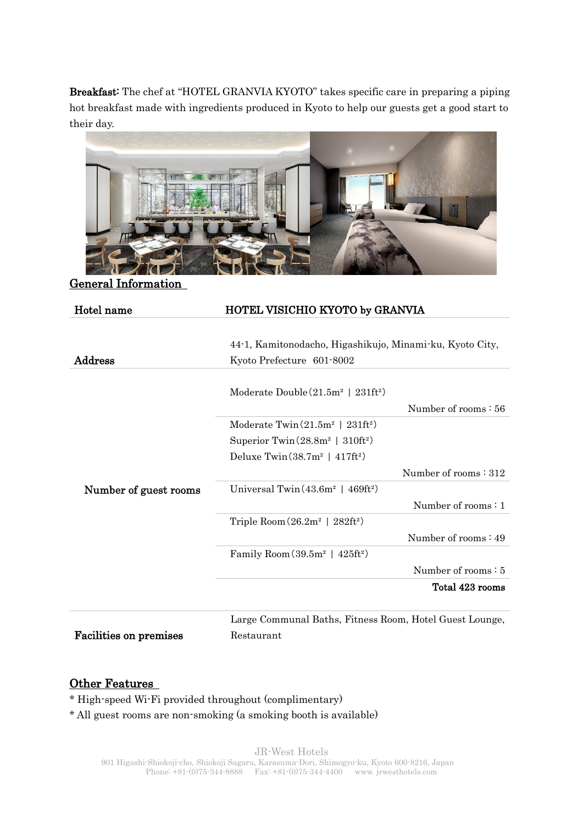Breakfast: The chef at "HOTEL GRANVIA KYOTO" takes specific care in preparing a piping hot breakfast made with ingredients produced in Kyoto to help our guests get a good start to their day.



General Information

| Hotel name                    | HOTEL VISICHIO KYOTO by GRANVIA                                                       |
|-------------------------------|---------------------------------------------------------------------------------------|
| Address                       | 44-1, Kamitonodacho, Higashikujo, Minami-ku, Kyoto City,<br>Kyoto Prefecture 601-8002 |
| Number of guest rooms         | Moderate Double $(21.5m^2 \mid 231ft^2)$<br>Number of rooms: 56                       |
|                               | Moderate Twin $(21.5m^2 \mid 231ft^2)$                                                |
|                               | Superior Twin( $28.8m^2$   $310ft^2$ )                                                |
|                               | Deluxe Twin $(38.7m^2 + 417ft^2)$                                                     |
|                               | Number of rooms: 312                                                                  |
|                               | Universal Twin $(43.6m^2 + 469ft^2)$                                                  |
|                               | Number of rooms: 1                                                                    |
|                               | Triple Room $(26.2m^2 \mid 282ft^2)$                                                  |
|                               | Number of rooms $: 49$                                                                |
|                               | Family Room $(39.5m2   425ft2)$                                                       |
|                               | Number of rooms: 5                                                                    |
|                               | Total 423 rooms                                                                       |
|                               | Large Communal Baths, Fitness Room, Hotel Guest Lounge,                               |
| <b>Facilities on premises</b> | Restaurant                                                                            |

#### Other Features

\* High-speed Wi-Fi provided throughout (complimentary)

\* All guest rooms are non-smoking (a smoking booth is available)